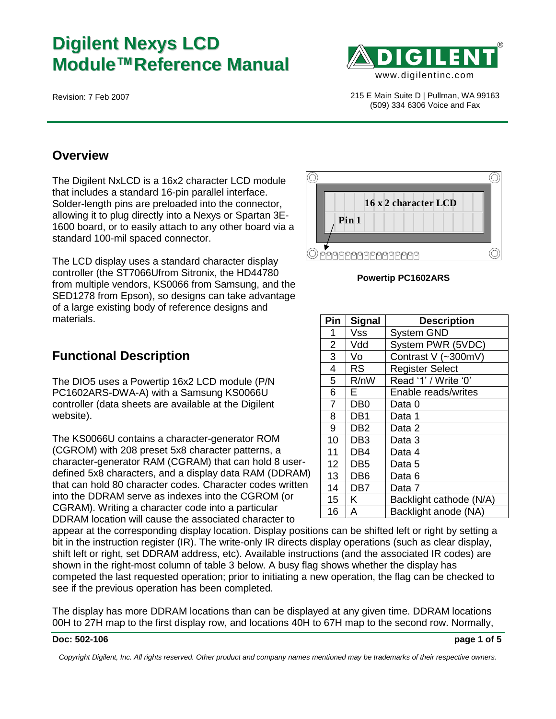# **Digilent Nexys LCD Module™Reference Manual**



Revision: 7 Feb 2007 215 E Main Suite D | Pullman, WA 99163 (509) 334 6306 Voice and Fax

### **Overview**

The Digilent NxLCD is a 16x2 character LCD module that includes a standard 16-pin parallel interface. Solder-length pins are preloaded into the connector, allowing it to plug directly into a Nexys or Spartan 3E-1600 board, or to easily attach to any other board via a standard 100-mil spaced connector.

The LCD display uses a standard character display controller (the ST7066Ufrom Sitronix, the HD44780 from multiple vendors, KS0066 from Samsung, and the SED1278 from Epson), so designs can take advantage of a large existing body of reference designs and materials.

## **Functional Description**

The DIO5 uses a Powertip 16x2 LCD module (P/N PC1602ARS-DWA-A) with a Samsung KS0066U controller (data sheets are available at the Digilent website).

The KS0066U contains a character-generator ROM (CGROM) with 208 preset 5x8 character patterns, a character-generator RAM (CGRAM) that can hold 8 userdefined 5x8 characters, and a display data RAM (DDRAM) that can hold 80 character codes. Character codes written into the DDRAM serve as indexes into the CGROM (or CGRAM). Writing a character code into a particular DDRAM location will cause the associated character to

appear at the corresponding display location. Display positions can be shifted left or right by setting a bit in the instruction register (IR). The write-only IR directs display operations (such as clear display, shift left or right, set DDRAM address, etc). Available instructions (and the associated IR codes) are shown in the right-most column of table 3 below. A busy flag shows whether the display has competed the last requested operation; prior to initiating a new operation, the flag can be checked to see if the previous operation has been completed.

The display has more DDRAM locations than can be displayed at any given time. DDRAM locations 00H to 27H map to the first display row, and locations 40H to 67H map to the second row. Normally,

#### **Doc: 502-106 page 1 of 5**

*Copyright Digilent, Inc. All rights reserved. Other product and company names mentioned may be trademarks of their respective owners.*



#### **Powertip PC1602ARS**

| Pin             | <b>Signal</b>    | <b>Description</b>      |  |  |  |  |  |
|-----------------|------------------|-------------------------|--|--|--|--|--|
| 1               | Vss              | <b>System GND</b>       |  |  |  |  |  |
| $\overline{2}$  | Vdd              | System PWR (5VDC)       |  |  |  |  |  |
| $\overline{3}$  | Vo               | Contrast V (~300mV)     |  |  |  |  |  |
| 4               | <b>RS</b>        | <b>Register Select</b>  |  |  |  |  |  |
| 5               | R/nW             | Read '1' / Write '0'    |  |  |  |  |  |
| 6               | E.               | Enable reads/writes     |  |  |  |  |  |
| $\overline{7}$  | D <sub>B</sub> 0 | Data 0                  |  |  |  |  |  |
| 8               | DB1              | Data 1                  |  |  |  |  |  |
| 9               | DB <sub>2</sub>  | Data 2                  |  |  |  |  |  |
| 10              | DB <sub>3</sub>  | Data 3                  |  |  |  |  |  |
| 11              | DB4              | Data 4                  |  |  |  |  |  |
| 12 <sub>2</sub> | DB <sub>5</sub>  | Data 5                  |  |  |  |  |  |
| 13              | DB <sub>6</sub>  | Data 6                  |  |  |  |  |  |
| 14              | DB <sub>7</sub>  | Data 7                  |  |  |  |  |  |
| 15              | K                | Backlight cathode (N/A) |  |  |  |  |  |
| 16              | A                | Backlight anode (NA)    |  |  |  |  |  |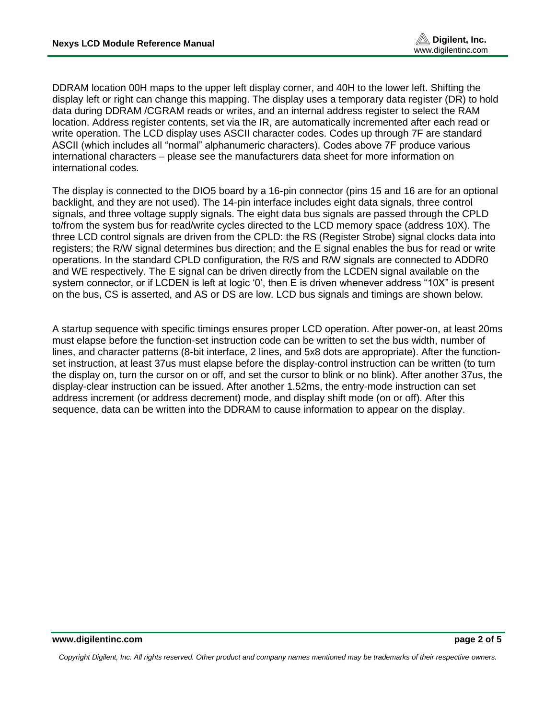DDRAM location 00H maps to the upper left display corner, and 40H to the lower left. Shifting the display left or right can change this mapping. The display uses a temporary data register (DR) to hold data during DDRAM /CGRAM reads or writes, and an internal address register to select the RAM location. Address register contents, set via the IR, are automatically incremented after each read or write operation. The LCD display uses ASCII character codes. Codes up through 7F are standard ASCII (which includes all "normal" alphanumeric characters). Codes above 7F produce various international characters – please see the manufacturers data sheet for more information on international codes.

The display is connected to the DIO5 board by a 16-pin connector (pins 15 and 16 are for an optional backlight, and they are not used). The 14-pin interface includes eight data signals, three control signals, and three voltage supply signals. The eight data bus signals are passed through the CPLD to/from the system bus for read/write cycles directed to the LCD memory space (address 10X). The three LCD control signals are driven from the CPLD: the RS (Register Strobe) signal clocks data into registers; the R/W signal determines bus direction; and the E signal enables the bus for read or write operations. In the standard CPLD configuration, the R/S and R/W signals are connected to ADDR0 and WE respectively. The E signal can be driven directly from the LCDEN signal available on the system connector, or if LCDEN is left at logic '0', then E is driven whenever address "10X" is present on the bus, CS is asserted, and AS or DS are low. LCD bus signals and timings are shown below.

A startup sequence with specific timings ensures proper LCD operation. After power-on, at least 20ms must elapse before the function-set instruction code can be written to set the bus width, number of lines, and character patterns (8-bit interface, 2 lines, and 5x8 dots are appropriate). After the functionset instruction, at least 37us must elapse before the display-control instruction can be written (to turn the display on, turn the cursor on or off, and set the cursor to blink or no blink). After another 37us, the display-clear instruction can be issued. After another 1.52ms, the entry-mode instruction can set address increment (or address decrement) mode, and display shift mode (on or off). After this sequence, data can be written into the DDRAM to cause information to appear on the display.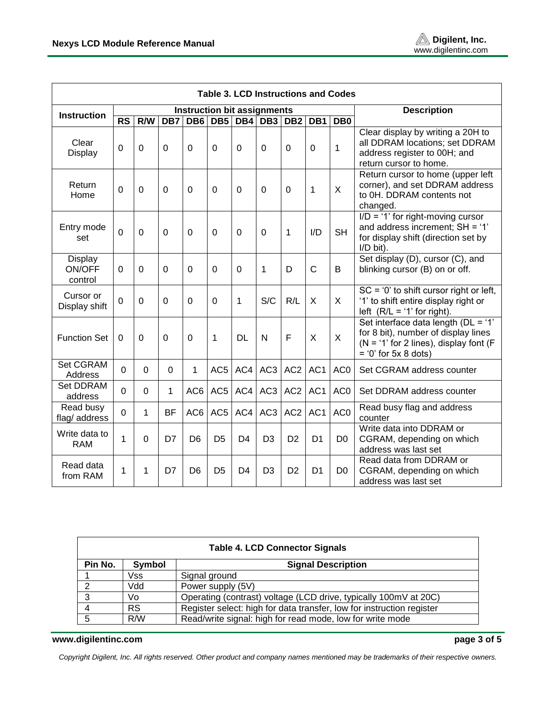$\Gamma$ 

٦

| <b>Table 3. LCD Instructions and Codes</b> |                                    |             |             |                 |                 |                |                 |                 |                  |                 |                                                                                                                                                  |
|--------------------------------------------|------------------------------------|-------------|-------------|-----------------|-----------------|----------------|-----------------|-----------------|------------------|-----------------|--------------------------------------------------------------------------------------------------------------------------------------------------|
| <b>Instruction</b>                         | <b>Instruction bit assignments</b> |             |             |                 |                 |                |                 |                 |                  |                 | <b>Description</b>                                                                                                                               |
|                                            | $\overline{\text{RS}}$             | R/W         | DB7         | DB <sub>6</sub> | DB <sub>5</sub> | DB4            | DB <sub>3</sub> | DB <sub>2</sub> | $\overline{DB1}$ | DB0             |                                                                                                                                                  |
| Clear<br>Display                           | 0                                  | $\Omega$    | $\Omega$    | $\Omega$        | 0               | $\mathbf 0$    | 0               | $\mathbf 0$     | $\mathbf 0$      | $\mathbf{1}$    | Clear display by writing a 20H to<br>all DDRAM locations; set DDRAM<br>address register to 00H; and<br>return cursor to home.                    |
| Return<br>Home                             | 0                                  | 0           | $\mathbf 0$ | $\mathbf 0$     | 0               | $\mathbf 0$    | 0               | $\mathbf 0$     | $\mathbf{1}$     | X               | Return cursor to home (upper left<br>corner), and set DDRAM address<br>to 0H. DDRAM contents not<br>changed.                                     |
| Entry mode<br>set                          | 0                                  | $\Omega$    | $\mathbf 0$ | $\mathbf 0$     | 0               | $\mathbf 0$    | 0               | 1               | I/D              | <b>SH</b>       | $I/D = '1'$ for right-moving cursor<br>and address increment; SH = '1'<br>for display shift (direction set by<br>I/D bit).                       |
| Display<br>ON/OFF<br>control               | $\Omega$                           | $\Omega$    | $\mathbf 0$ | $\Omega$        | 0               | 0              | 1               | D               | C                | B               | Set display (D), cursor (C), and<br>blinking cursor (B) on or off.                                                                               |
| Cursor or<br>Display shift                 | $\Omega$                           | $\Omega$    | $\mathbf 0$ | $\Omega$        | $\Omega$        | 1              | S/C             | R/L             | X                | X               | $SC = '0'$ to shift cursor right or left,<br>'1' to shift entire display right or<br>left $(R/L = '1'$ for right).                               |
| <b>Function Set</b>                        | 0                                  | 0           | $\mathbf 0$ | $\mathbf 0$     | 1               | <b>DL</b>      | N               | F               | $\mathsf{X}$     | X               | Set interface data length (DL = '1'<br>for 8 bit), number of display lines<br>$(N = '1'$ for 2 lines), display font (F<br>$= 0$ ' for 5x 8 dots) |
| Set CGRAM<br>Address                       | 0                                  | $\mathbf 0$ | $\mathbf 0$ | 1               | AC <sub>5</sub> | AC4            | AC <sub>3</sub> | AC <sub>2</sub> | AC <sub>1</sub>  | AC <sub>0</sub> | Set CGRAM address counter                                                                                                                        |
| Set DDRAM<br>address                       | 0                                  | $\mathbf 0$ | 1           | AC6             | AC <sub>5</sub> | AC4            | AC <sub>3</sub> | AC <sub>2</sub> | AC <sub>1</sub>  | AC <sub>0</sub> | Set DDRAM address counter                                                                                                                        |
| Read busy<br>flag/ address                 | 0                                  | 1           | <b>BF</b>   | AC6             | AC <sub>5</sub> | AC4            | AC <sub>3</sub> | AC <sub>2</sub> | AC1              | AC <sub>0</sub> | Read busy flag and address<br>counter                                                                                                            |
| Write data to<br><b>RAM</b>                | 1                                  | 0           | D7          | D <sub>6</sub>  | D <sub>5</sub>  | D <sub>4</sub> | D <sub>3</sub>  | D <sub>2</sub>  | D <sub>1</sub>   | D <sub>0</sub>  | Write data into DDRAM or<br>CGRAM, depending on which<br>address was last set                                                                    |
| Read data<br>from RAM                      | 1                                  | 1           | D7          | D <sub>6</sub>  | D <sub>5</sub>  | D <sub>4</sub> | D <sub>3</sub>  | D <sub>2</sub>  | D <sub>1</sub>   | D <sub>0</sub>  | Read data from DDRAM or<br>CGRAM, depending on which<br>address was last set                                                                     |

| <b>Table 4. LCD Connector Signals</b> |                                     |                                                                       |  |  |  |  |  |  |  |
|---------------------------------------|-------------------------------------|-----------------------------------------------------------------------|--|--|--|--|--|--|--|
| Pin No.                               | Symbol<br><b>Signal Description</b> |                                                                       |  |  |  |  |  |  |  |
|                                       | Vss                                 | Signal ground                                                         |  |  |  |  |  |  |  |
| 2                                     | Vdd                                 | Power supply (5V)                                                     |  |  |  |  |  |  |  |
| 3                                     | Vo                                  | Operating (contrast) voltage (LCD drive, typically 100mV at 20C)      |  |  |  |  |  |  |  |
| $\overline{4}$                        | <b>RS</b>                           | Register select: high for data transfer, low for instruction register |  |  |  |  |  |  |  |
| 5                                     | R/W                                 | Read/write signal: high for read mode, low for write mode             |  |  |  |  |  |  |  |

#### **www.digilentinc.com page 3 of 5**

*Copyright Digilent, Inc. All rights reserved. Other product and company names mentioned may be trademarks of their respective owners.*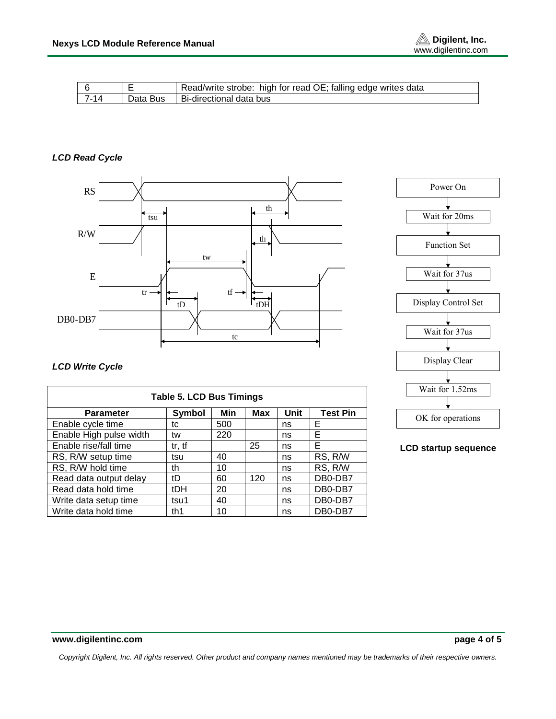

|      | Read/write strobe: high for read OE; falling edge writes data |
|------|---------------------------------------------------------------|
| 7-14 | Data Bus I Bi-directional data bus                            |

#### *LCD Read Cycle*



# Wait for 20ms Power On Function Set Wait for 37us Display Control Set Wait for 37us Display Clear Wait for 1.52ms OK for operations

#### **LCD startup sequence**

#### *LCD Write Cycle*

| <b>Table 5. LCD Bus Timings</b> |            |     |            |      |                 |  |  |  |
|---------------------------------|------------|-----|------------|------|-----------------|--|--|--|
| <b>Parameter</b>                | Symbol     | Min | <b>Max</b> | Unit | <b>Test Pin</b> |  |  |  |
| Enable cycle time               | tc         | 500 |            | ns   | Е               |  |  |  |
| Enable High pulse width         | tw         | 220 |            | ns   | Е               |  |  |  |
| Enable rise/fall time           | tr, tf     |     | 25         | ns   | Е               |  |  |  |
| RS, R/W setup time              | tsu        | 40  |            | ns   | RS, R/W         |  |  |  |
| RS, R/W hold time               | th         | 10  |            | ns   | RS, R/W         |  |  |  |
| Read data output delay          | tD         | 60  | 120        | ns   | DB0-DB7         |  |  |  |
| Read data hold time             | <b>tDH</b> | 20  |            | ns   | DB0-DB7         |  |  |  |
| Write data setup time           | tsu1       | 40  |            | ns   | DB0-DB7         |  |  |  |
| Write data hold time            | th1        | 10  |            | ns   | DB0-DB7         |  |  |  |

*Copyright Digilent, Inc. All rights reserved. Other product and company names mentioned may be trademarks of their respective owners.*